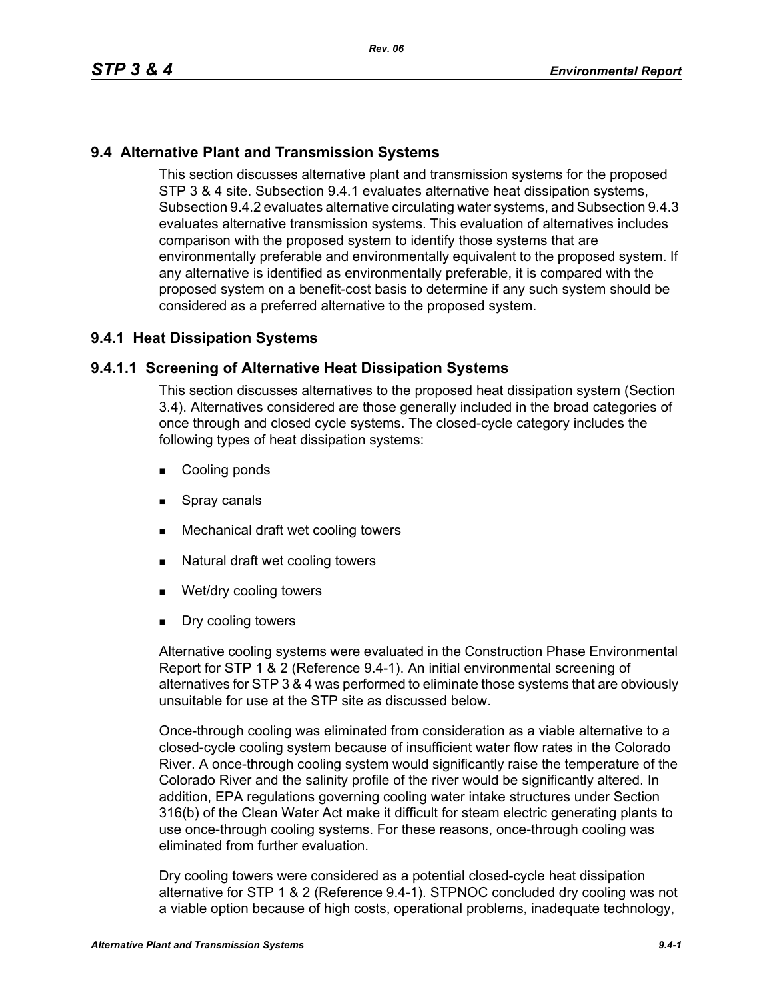# **9.4 Alternative Plant and Transmission Systems**

This section discusses alternative plant and transmission systems for the proposed STP 3 & 4 site. Subsection 9.4.1 evaluates alternative heat dissipation systems, Subsection 9.4.2 evaluates alternative circulating water systems, and Subsection 9.4.3 evaluates alternative transmission systems. This evaluation of alternatives includes comparison with the proposed system to identify those systems that are environmentally preferable and environmentally equivalent to the proposed system. If any alternative is identified as environmentally preferable, it is compared with the proposed system on a benefit-cost basis to determine if any such system should be considered as a preferred alternative to the proposed system.

# **9.4.1 Heat Dissipation Systems**

## **9.4.1.1 Screening of Alternative Heat Dissipation Systems**

This section discusses alternatives to the proposed heat dissipation system (Section 3.4). Alternatives considered are those generally included in the broad categories of once through and closed cycle systems. The closed-cycle category includes the following types of heat dissipation systems:

- **Cooling ponds**
- **Spray canals**
- Mechanical draft wet cooling towers
- Natural draft wet cooling towers
- Wet/dry cooling towers
- **Dry cooling towers**

Alternative cooling systems were evaluated in the Construction Phase Environmental Report for STP 1 & 2 (Reference 9.4-1). An initial environmental screening of alternatives for STP 3 & 4 was performed to eliminate those systems that are obviously unsuitable for use at the STP site as discussed below.

Once-through cooling was eliminated from consideration as a viable alternative to a closed-cycle cooling system because of insufficient water flow rates in the Colorado River. A once-through cooling system would significantly raise the temperature of the Colorado River and the salinity profile of the river would be significantly altered. In addition, EPA regulations governing cooling water intake structures under Section 316(b) of the Clean Water Act make it difficult for steam electric generating plants to use once-through cooling systems. For these reasons, once-through cooling was eliminated from further evaluation.

Dry cooling towers were considered as a potential closed-cycle heat dissipation alternative for STP 1 & 2 (Reference 9.4-1). STPNOC concluded dry cooling was not a viable option because of high costs, operational problems, inadequate technology,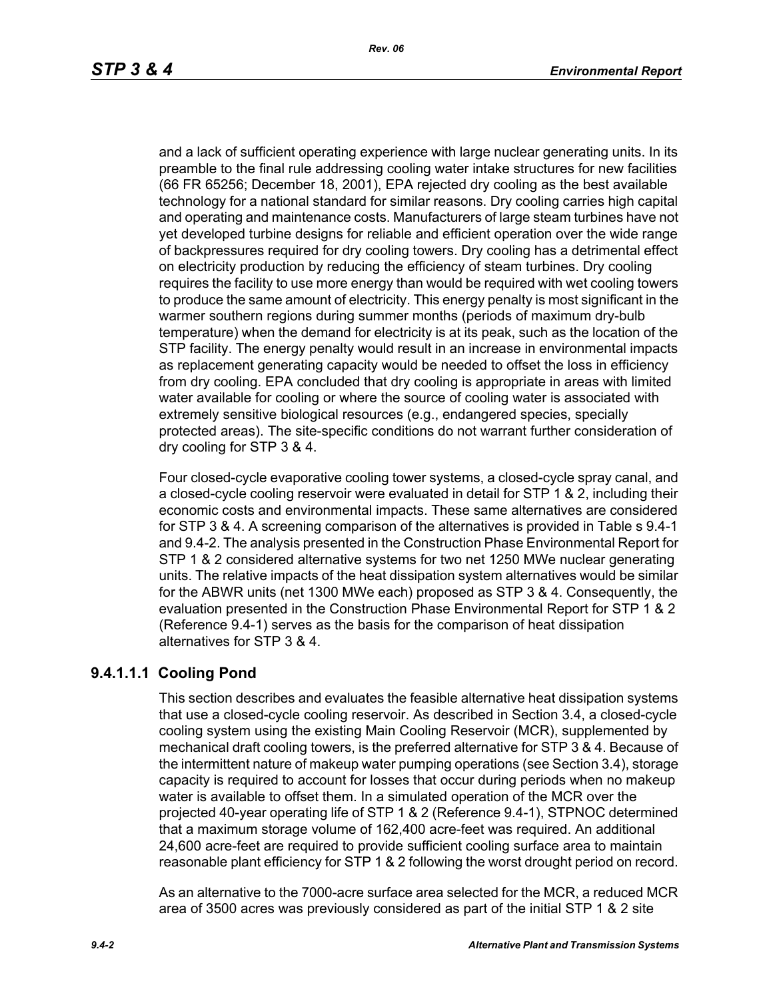and a lack of sufficient operating experience with large nuclear generating units. In its preamble to the final rule addressing cooling water intake structures for new facilities (66 FR 65256; December 18, 2001), EPA rejected dry cooling as the best available technology for a national standard for similar reasons. Dry cooling carries high capital and operating and maintenance costs. Manufacturers of large steam turbines have not yet developed turbine designs for reliable and efficient operation over the wide range of backpressures required for dry cooling towers. Dry cooling has a detrimental effect on electricity production by reducing the efficiency of steam turbines. Dry cooling requires the facility to use more energy than would be required with wet cooling towers to produce the same amount of electricity. This energy penalty is most significant in the warmer southern regions during summer months (periods of maximum dry-bulb temperature) when the demand for electricity is at its peak, such as the location of the STP facility. The energy penalty would result in an increase in environmental impacts as replacement generating capacity would be needed to offset the loss in efficiency from dry cooling. EPA concluded that dry cooling is appropriate in areas with limited water available for cooling or where the source of cooling water is associated with extremely sensitive biological resources (e.g., endangered species, specially protected areas). The site-specific conditions do not warrant further consideration of dry cooling for STP 3 & 4.

Four closed-cycle evaporative cooling tower systems, a closed-cycle spray canal, and a closed-cycle cooling reservoir were evaluated in detail for STP 1 & 2, including their economic costs and environmental impacts. These same alternatives are considered for STP 3 & 4. A screening comparison of the alternatives is provided in Table s 9.4-1 and 9.4-2. The analysis presented in the Construction Phase Environmental Report for STP 1 & 2 considered alternative systems for two net 1250 MWe nuclear generating units. The relative impacts of the heat dissipation system alternatives would be similar for the ABWR units (net 1300 MWe each) proposed as STP 3 & 4. Consequently, the evaluation presented in the Construction Phase Environmental Report for STP 1 & 2 (Reference 9.4-1) serves as the basis for the comparison of heat dissipation alternatives for STP 3 & 4.

# **9.4.1.1.1 Cooling Pond**

This section describes and evaluates the feasible alternative heat dissipation systems that use a closed-cycle cooling reservoir. As described in Section 3.4, a closed-cycle cooling system using the existing Main Cooling Reservoir (MCR), supplemented by mechanical draft cooling towers, is the preferred alternative for STP 3 & 4. Because of the intermittent nature of makeup water pumping operations (see Section 3.4), storage capacity is required to account for losses that occur during periods when no makeup water is available to offset them. In a simulated operation of the MCR over the projected 40-year operating life of STP 1 & 2 (Reference 9.4-1), STPNOC determined that a maximum storage volume of 162,400 acre-feet was required. An additional 24,600 acre-feet are required to provide sufficient cooling surface area to maintain reasonable plant efficiency for STP 1 & 2 following the worst drought period on record.

As an alternative to the 7000-acre surface area selected for the MCR, a reduced MCR area of 3500 acres was previously considered as part of the initial STP 1 & 2 site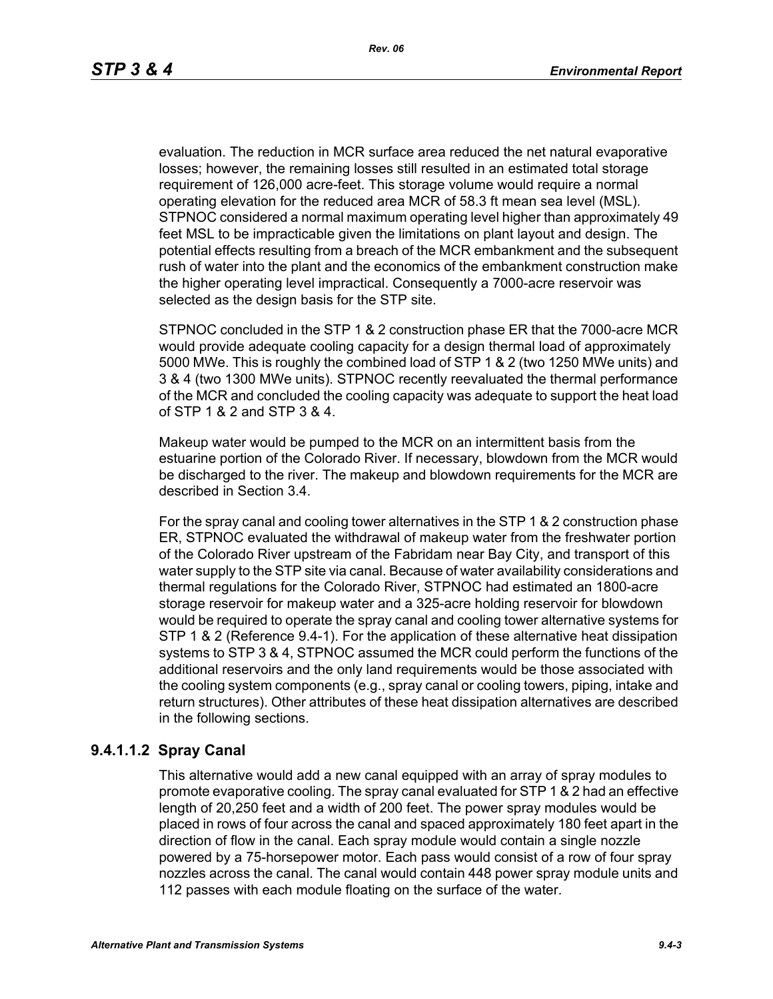evaluation. The reduction in MCR surface area reduced the net natural evaporative losses; however, the remaining losses still resulted in an estimated total storage requirement of 126,000 acre-feet. This storage volume would require a normal operating elevation for the reduced area MCR of 58.3 ft mean sea level (MSL). STPNOC considered a normal maximum operating level higher than approximately 49 feet MSL to be impracticable given the limitations on plant layout and design. The potential effects resulting from a breach of the MCR embankment and the subsequent rush of water into the plant and the economics of the embankment construction make the higher operating level impractical. Consequently a 7000-acre reservoir was selected as the design basis for the STP site.

STPNOC concluded in the STP 1 & 2 construction phase ER that the 7000-acre MCR would provide adequate cooling capacity for a design thermal load of approximately 5000 MWe. This is roughly the combined load of STP 1 & 2 (two 1250 MWe units) and 3 & 4 (two 1300 MWe units). STPNOC recently reevaluated the thermal performance of the MCR and concluded the cooling capacity was adequate to support the heat load of STP 1 & 2 and STP 3 & 4.

Makeup water would be pumped to the MCR on an intermittent basis from the estuarine portion of the Colorado River. If necessary, blowdown from the MCR would be discharged to the river. The makeup and blowdown requirements for the MCR are described in Section 3.4.

For the spray canal and cooling tower alternatives in the STP 1 & 2 construction phase ER, STPNOC evaluated the withdrawal of makeup water from the freshwater portion of the Colorado River upstream of the Fabridam near Bay City, and transport of this water supply to the STP site via canal. Because of water availability considerations and thermal regulations for the Colorado River, STPNOC had estimated an 1800-acre storage reservoir for makeup water and a 325-acre holding reservoir for blowdown would be required to operate the spray canal and cooling tower alternative systems for STP 1 & 2 (Reference 9.4-1). For the application of these alternative heat dissipation systems to STP 3 & 4, STPNOC assumed the MCR could perform the functions of the additional reservoirs and the only land requirements would be those associated with the cooling system components (e.g., spray canal or cooling towers, piping, intake and return structures). Other attributes of these heat dissipation alternatives are described in the following sections.

#### **9.4.1.1.2 Spray Canal**

This alternative would add a new canal equipped with an array of spray modules to promote evaporative cooling. The spray canal evaluated for STP 1 & 2 had an effective length of 20,250 feet and a width of 200 feet. The power spray modules would be placed in rows of four across the canal and spaced approximately 180 feet apart in the direction of flow in the canal. Each spray module would contain a single nozzle powered by a 75-horsepower motor. Each pass would consist of a row of four spray nozzles across the canal. The canal would contain 448 power spray module units and 112 passes with each module floating on the surface of the water.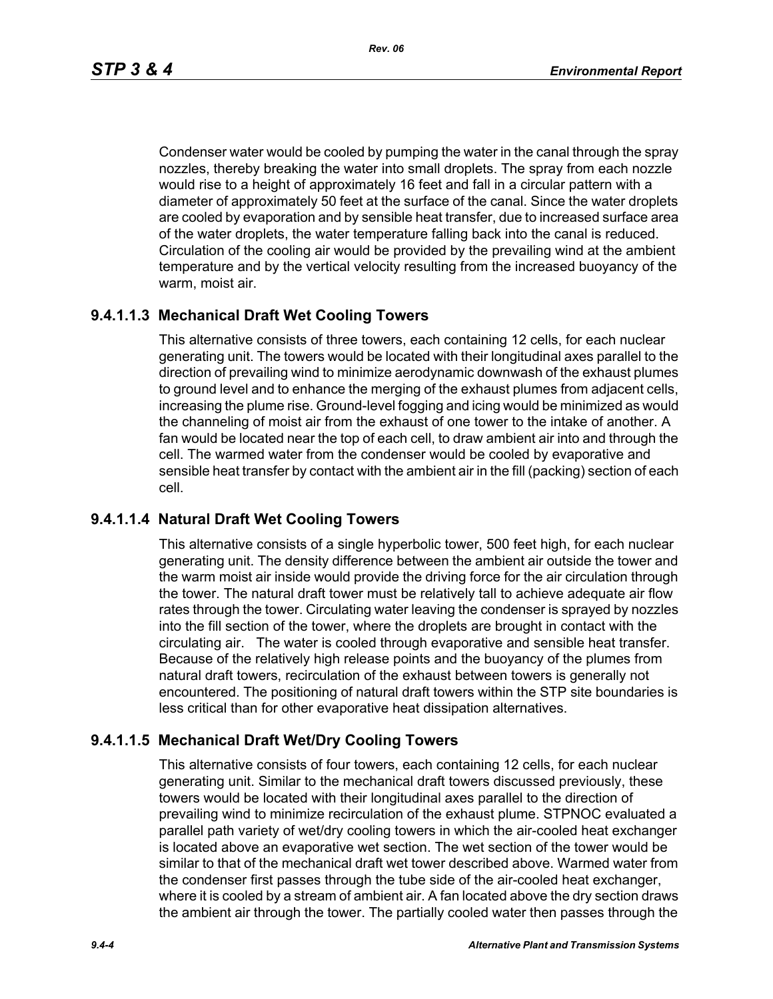*Rev. 06*

Condenser water would be cooled by pumping the water in the canal through the spray nozzles, thereby breaking the water into small droplets. The spray from each nozzle would rise to a height of approximately 16 feet and fall in a circular pattern with a diameter of approximately 50 feet at the surface of the canal. Since the water droplets are cooled by evaporation and by sensible heat transfer, due to increased surface area of the water droplets, the water temperature falling back into the canal is reduced. Circulation of the cooling air would be provided by the prevailing wind at the ambient temperature and by the vertical velocity resulting from the increased buoyancy of the warm, moist air.

# **9.4.1.1.3 Mechanical Draft Wet Cooling Towers**

This alternative consists of three towers, each containing 12 cells, for each nuclear generating unit. The towers would be located with their longitudinal axes parallel to the direction of prevailing wind to minimize aerodynamic downwash of the exhaust plumes to ground level and to enhance the merging of the exhaust plumes from adjacent cells, increasing the plume rise. Ground-level fogging and icing would be minimized as would the channeling of moist air from the exhaust of one tower to the intake of another. A fan would be located near the top of each cell, to draw ambient air into and through the cell. The warmed water from the condenser would be cooled by evaporative and sensible heat transfer by contact with the ambient air in the fill (packing) section of each cell.

# **9.4.1.1.4 Natural Draft Wet Cooling Towers**

This alternative consists of a single hyperbolic tower, 500 feet high, for each nuclear generating unit. The density difference between the ambient air outside the tower and the warm moist air inside would provide the driving force for the air circulation through the tower. The natural draft tower must be relatively tall to achieve adequate air flow rates through the tower. Circulating water leaving the condenser is sprayed by nozzles into the fill section of the tower, where the droplets are brought in contact with the circulating air. The water is cooled through evaporative and sensible heat transfer. Because of the relatively high release points and the buoyancy of the plumes from natural draft towers, recirculation of the exhaust between towers is generally not encountered. The positioning of natural draft towers within the STP site boundaries is less critical than for other evaporative heat dissipation alternatives.

# **9.4.1.1.5 Mechanical Draft Wet/Dry Cooling Towers**

This alternative consists of four towers, each containing 12 cells, for each nuclear generating unit. Similar to the mechanical draft towers discussed previously, these towers would be located with their longitudinal axes parallel to the direction of prevailing wind to minimize recirculation of the exhaust plume. STPNOC evaluated a parallel path variety of wet/dry cooling towers in which the air-cooled heat exchanger is located above an evaporative wet section. The wet section of the tower would be similar to that of the mechanical draft wet tower described above. Warmed water from the condenser first passes through the tube side of the air-cooled heat exchanger, where it is cooled by a stream of ambient air. A fan located above the dry section draws the ambient air through the tower. The partially cooled water then passes through the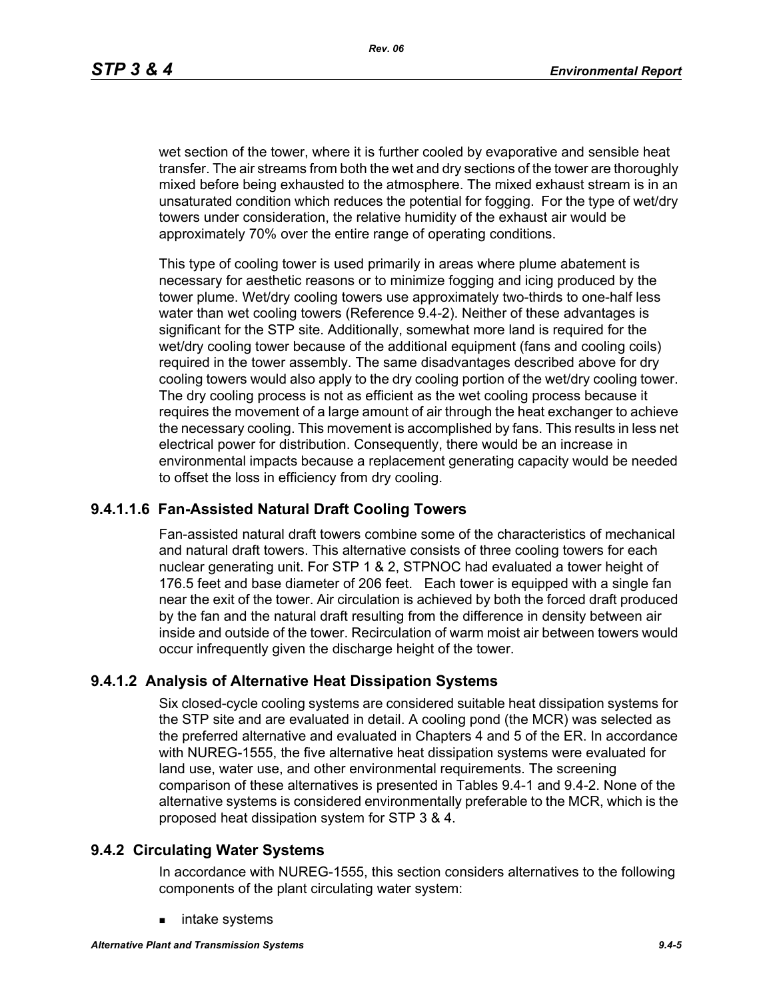wet section of the tower, where it is further cooled by evaporative and sensible heat transfer. The air streams from both the wet and dry sections of the tower are thoroughly mixed before being exhausted to the atmosphere. The mixed exhaust stream is in an unsaturated condition which reduces the potential for fogging. For the type of wet/dry towers under consideration, the relative humidity of the exhaust air would be approximately 70% over the entire range of operating conditions.

This type of cooling tower is used primarily in areas where plume abatement is necessary for aesthetic reasons or to minimize fogging and icing produced by the tower plume. Wet/dry cooling towers use approximately two-thirds to one-half less water than wet cooling towers (Reference 9.4-2). Neither of these advantages is significant for the STP site. Additionally, somewhat more land is required for the wet/dry cooling tower because of the additional equipment (fans and cooling coils) required in the tower assembly. The same disadvantages described above for dry cooling towers would also apply to the dry cooling portion of the wet/dry cooling tower. The dry cooling process is not as efficient as the wet cooling process because it requires the movement of a large amount of air through the heat exchanger to achieve the necessary cooling. This movement is accomplished by fans. This results in less net electrical power for distribution. Consequently, there would be an increase in environmental impacts because a replacement generating capacity would be needed to offset the loss in efficiency from dry cooling.

### **9.4.1.1.6 Fan-Assisted Natural Draft Cooling Towers**

Fan-assisted natural draft towers combine some of the characteristics of mechanical and natural draft towers. This alternative consists of three cooling towers for each nuclear generating unit. For STP 1 & 2, STPNOC had evaluated a tower height of 176.5 feet and base diameter of 206 feet. Each tower is equipped with a single fan near the exit of the tower. Air circulation is achieved by both the forced draft produced by the fan and the natural draft resulting from the difference in density between air inside and outside of the tower. Recirculation of warm moist air between towers would occur infrequently given the discharge height of the tower.

### **9.4.1.2 Analysis of Alternative Heat Dissipation Systems**

Six closed-cycle cooling systems are considered suitable heat dissipation systems for the STP site and are evaluated in detail. A cooling pond (the MCR) was selected as the preferred alternative and evaluated in Chapters 4 and 5 of the ER. In accordance with NUREG-1555, the five alternative heat dissipation systems were evaluated for land use, water use, and other environmental requirements. The screening comparison of these alternatives is presented in Tables 9.4-1 and 9.4-2. None of the alternative systems is considered environmentally preferable to the MCR, which is the proposed heat dissipation system for STP 3 & 4.

#### **9.4.2 Circulating Water Systems**

In accordance with NUREG-1555, this section considers alternatives to the following components of the plant circulating water system:

intake systems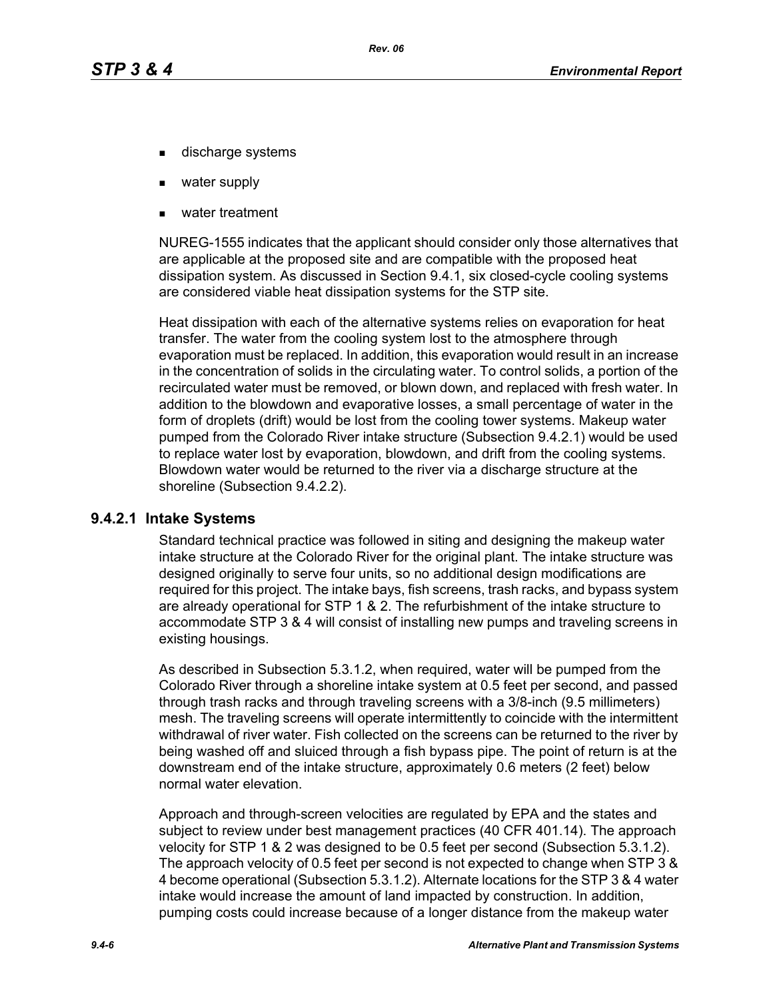- discharge systems
- water supply
- water treatment

NUREG-1555 indicates that the applicant should consider only those alternatives that are applicable at the proposed site and are compatible with the proposed heat dissipation system. As discussed in Section 9.4.1, six closed-cycle cooling systems are considered viable heat dissipation systems for the STP site.

Heat dissipation with each of the alternative systems relies on evaporation for heat transfer. The water from the cooling system lost to the atmosphere through evaporation must be replaced. In addition, this evaporation would result in an increase in the concentration of solids in the circulating water. To control solids, a portion of the recirculated water must be removed, or blown down, and replaced with fresh water. In addition to the blowdown and evaporative losses, a small percentage of water in the form of droplets (drift) would be lost from the cooling tower systems. Makeup water pumped from the Colorado River intake structure (Subsection 9.4.2.1) would be used to replace water lost by evaporation, blowdown, and drift from the cooling systems. Blowdown water would be returned to the river via a discharge structure at the shoreline (Subsection 9.4.2.2).

#### **9.4.2.1 Intake Systems**

Standard technical practice was followed in siting and designing the makeup water intake structure at the Colorado River for the original plant. The intake structure was designed originally to serve four units, so no additional design modifications are required for this project. The intake bays, fish screens, trash racks, and bypass system are already operational for STP 1 & 2. The refurbishment of the intake structure to accommodate STP 3 & 4 will consist of installing new pumps and traveling screens in existing housings.

As described in Subsection 5.3.1.2, when required, water will be pumped from the Colorado River through a shoreline intake system at 0.5 feet per second, and passed through trash racks and through traveling screens with a 3/8-inch (9.5 millimeters) mesh. The traveling screens will operate intermittently to coincide with the intermittent withdrawal of river water. Fish collected on the screens can be returned to the river by being washed off and sluiced through a fish bypass pipe. The point of return is at the downstream end of the intake structure, approximately 0.6 meters (2 feet) below normal water elevation.

Approach and through-screen velocities are regulated by EPA and the states and subject to review under best management practices (40 CFR 401.14). The approach velocity for STP 1 & 2 was designed to be 0.5 feet per second (Subsection 5.3.1.2). The approach velocity of 0.5 feet per second is not expected to change when STP 3 & 4 become operational (Subsection 5.3.1.2). Alternate locations for the STP 3 & 4 water intake would increase the amount of land impacted by construction. In addition, pumping costs could increase because of a longer distance from the makeup water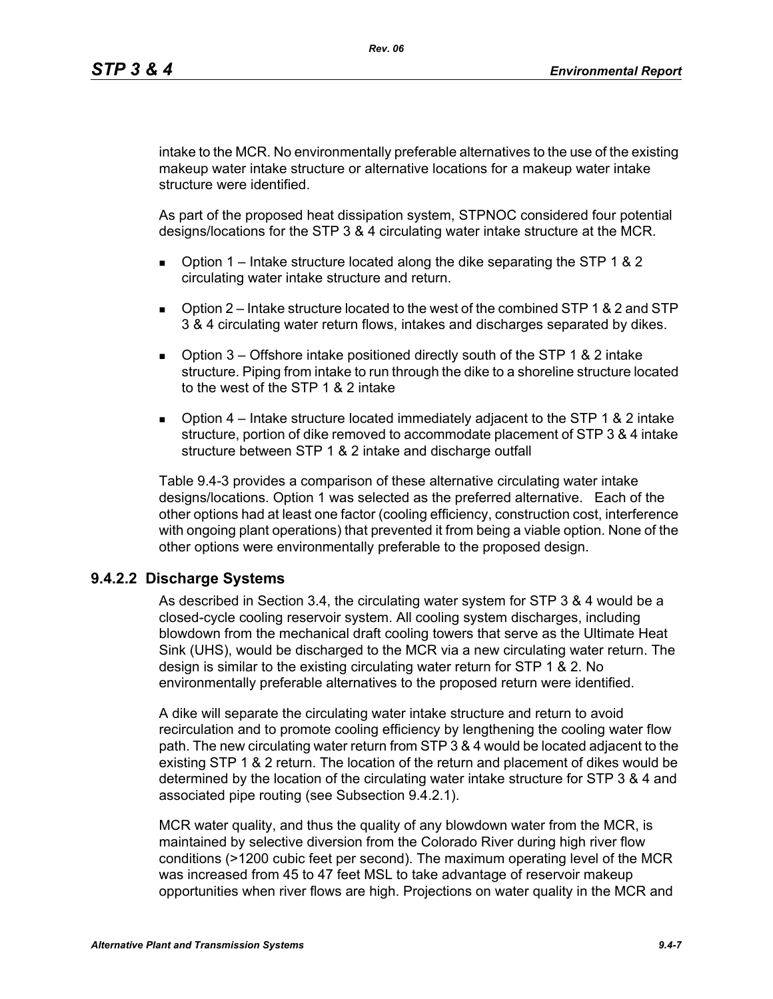intake to the MCR. No environmentally preferable alternatives to the use of the existing makeup water intake structure or alternative locations for a makeup water intake structure were identified.

As part of the proposed heat dissipation system, STPNOC considered four potential designs/locations for the STP 3 & 4 circulating water intake structure at the MCR.

- **D** Option 1 Intake structure located along the dike separating the STP 1 & 2 circulating water intake structure and return.
- $\Box$  Option 2 Intake structure located to the west of the combined STP 1 & 2 and STP 3 & 4 circulating water return flows, intakes and discharges separated by dikes.
- **D** Option  $3$  Offshore intake positioned directly south of the STP 1 & 2 intake structure. Piping from intake to run through the dike to a shoreline structure located to the west of the STP 1 & 2 intake
- **D** Option  $4$  Intake structure located immediately adjacent to the STP 1 & 2 intake structure, portion of dike removed to accommodate placement of STP 3 & 4 intake structure between STP 1 & 2 intake and discharge outfall

Table 9.4-3 provides a comparison of these alternative circulating water intake designs/locations. Option 1 was selected as the preferred alternative. Each of the other options had at least one factor (cooling efficiency, construction cost, interference with ongoing plant operations) that prevented it from being a viable option. None of the other options were environmentally preferable to the proposed design.

# **9.4.2.2 Discharge Systems**

As described in Section 3.4, the circulating water system for STP 3 & 4 would be a closed-cycle cooling reservoir system. All cooling system discharges, including blowdown from the mechanical draft cooling towers that serve as the Ultimate Heat Sink (UHS), would be discharged to the MCR via a new circulating water return. The design is similar to the existing circulating water return for STP 1 & 2. No environmentally preferable alternatives to the proposed return were identified.

A dike will separate the circulating water intake structure and return to avoid recirculation and to promote cooling efficiency by lengthening the cooling water flow path. The new circulating water return from STP 3 & 4 would be located adjacent to the existing STP 1 & 2 return. The location of the return and placement of dikes would be determined by the location of the circulating water intake structure for STP 3 & 4 and associated pipe routing (see Subsection 9.4.2.1).

MCR water quality, and thus the quality of any blowdown water from the MCR, is maintained by selective diversion from the Colorado River during high river flow conditions (>1200 cubic feet per second). The maximum operating level of the MCR was increased from 45 to 47 feet MSL to take advantage of reservoir makeup opportunities when river flows are high. Projections on water quality in the MCR and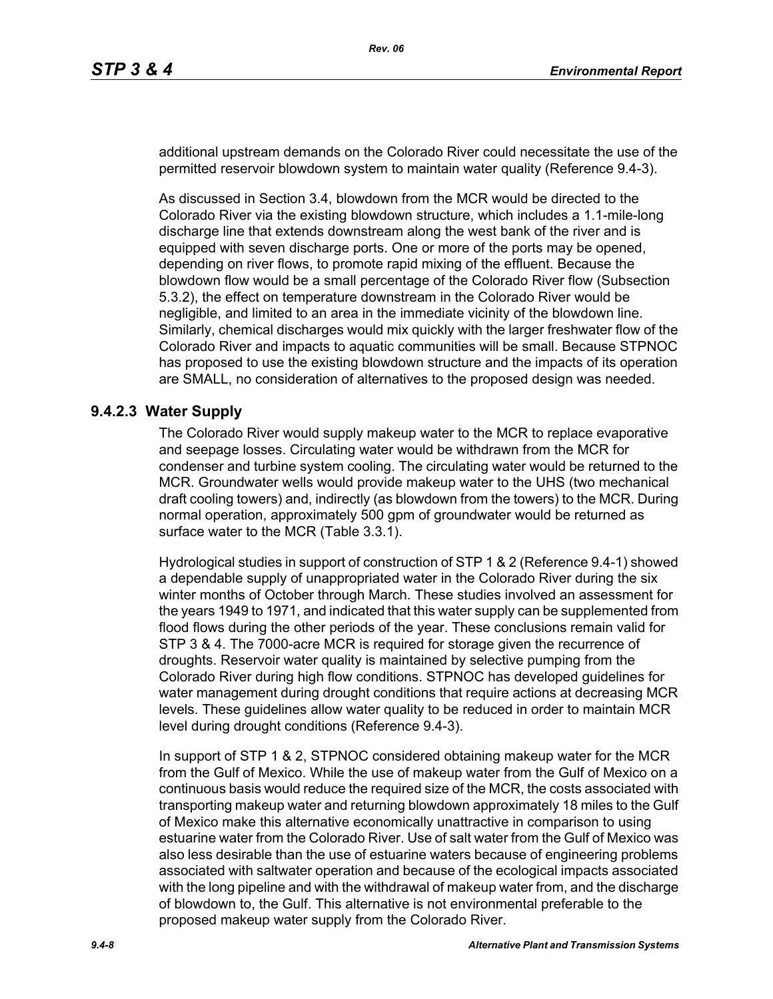additional upstream demands on the Colorado River could necessitate the use of the permitted reservoir blowdown system to maintain water quality (Reference 9.4-3).

As discussed in Section 3.4, blowdown from the MCR would be directed to the Colorado River via the existing blowdown structure, which includes a 1.1-mile-long discharge line that extends downstream along the west bank of the river and is equipped with seven discharge ports. One or more of the ports may be opened, depending on river flows, to promote rapid mixing of the effluent. Because the blowdown flow would be a small percentage of the Colorado River flow (Subsection 5.3.2), the effect on temperature downstream in the Colorado River would be negligible, and limited to an area in the immediate vicinity of the blowdown line. Similarly, chemical discharges would mix quickly with the larger freshwater flow of the Colorado River and impacts to aquatic communities will be small. Because STPNOC has proposed to use the existing blowdown structure and the impacts of its operation are SMALL, no consideration of alternatives to the proposed design was needed.

#### **9.4.2.3 Water Supply**

The Colorado River would supply makeup water to the MCR to replace evaporative and seepage losses. Circulating water would be withdrawn from the MCR for condenser and turbine system cooling. The circulating water would be returned to the MCR. Groundwater wells would provide makeup water to the UHS (two mechanical draft cooling towers) and, indirectly (as blowdown from the towers) to the MCR. During normal operation, approximately 500 gpm of groundwater would be returned as surface water to the MCR (Table 3.3.1).

Hydrological studies in support of construction of STP 1 & 2 (Reference 9.4-1) showed a dependable supply of unappropriated water in the Colorado River during the six winter months of October through March. These studies involved an assessment for the years 1949 to 1971, and indicated that this water supply can be supplemented from flood flows during the other periods of the year. These conclusions remain valid for STP 3 & 4. The 7000-acre MCR is required for storage given the recurrence of droughts. Reservoir water quality is maintained by selective pumping from the Colorado River during high flow conditions. STPNOC has developed guidelines for water management during drought conditions that require actions at decreasing MCR levels. These guidelines allow water quality to be reduced in order to maintain MCR level during drought conditions (Reference 9.4-3).

In support of STP 1 & 2, STPNOC considered obtaining makeup water for the MCR from the Gulf of Mexico. While the use of makeup water from the Gulf of Mexico on a continuous basis would reduce the required size of the MCR, the costs associated with transporting makeup water and returning blowdown approximately 18 miles to the Gulf of Mexico make this alternative economically unattractive in comparison to using estuarine water from the Colorado River. Use of salt water from the Gulf of Mexico was also less desirable than the use of estuarine waters because of engineering problems associated with saltwater operation and because of the ecological impacts associated with the long pipeline and with the withdrawal of makeup water from, and the discharge of blowdown to, the Gulf. This alternative is not environmental preferable to the proposed makeup water supply from the Colorado River.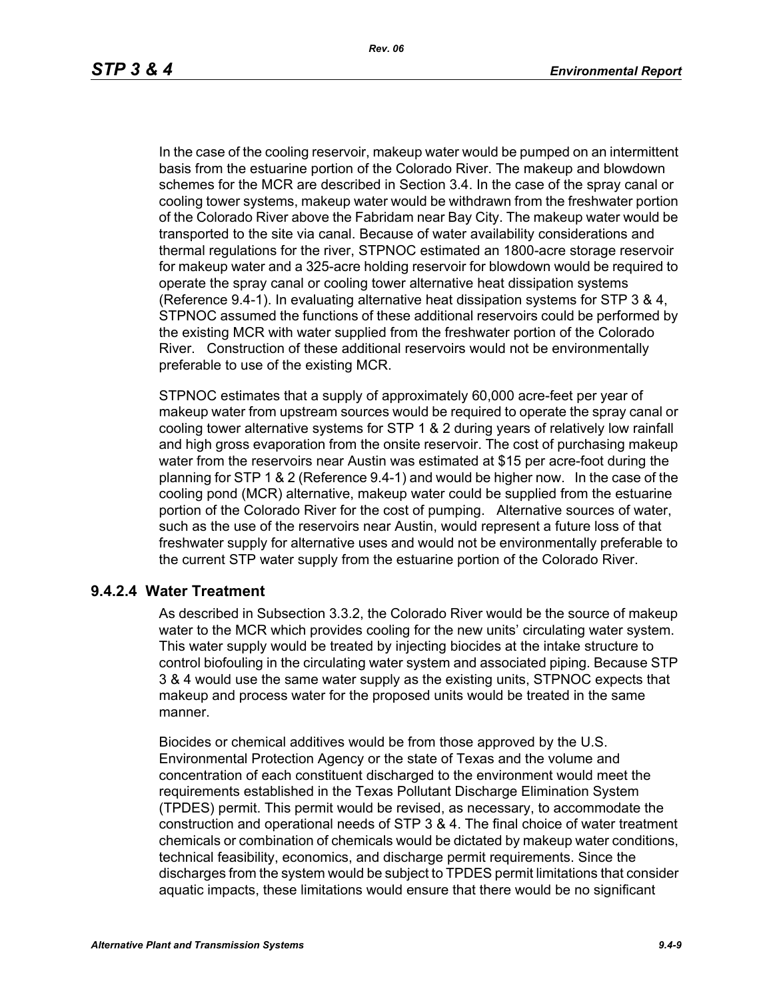In the case of the cooling reservoir, makeup water would be pumped on an intermittent basis from the estuarine portion of the Colorado River. The makeup and blowdown schemes for the MCR are described in Section 3.4. In the case of the spray canal or cooling tower systems, makeup water would be withdrawn from the freshwater portion of the Colorado River above the Fabridam near Bay City. The makeup water would be transported to the site via canal. Because of water availability considerations and thermal regulations for the river, STPNOC estimated an 1800-acre storage reservoir for makeup water and a 325-acre holding reservoir for blowdown would be required to operate the spray canal or cooling tower alternative heat dissipation systems (Reference 9.4-1). In evaluating alternative heat dissipation systems for STP 3 & 4, STPNOC assumed the functions of these additional reservoirs could be performed by the existing MCR with water supplied from the freshwater portion of the Colorado River. Construction of these additional reservoirs would not be environmentally preferable to use of the existing MCR.

STPNOC estimates that a supply of approximately 60,000 acre-feet per year of makeup water from upstream sources would be required to operate the spray canal or cooling tower alternative systems for STP 1 & 2 during years of relatively low rainfall and high gross evaporation from the onsite reservoir. The cost of purchasing makeup water from the reservoirs near Austin was estimated at \$15 per acre-foot during the planning for STP 1 & 2 (Reference 9.4-1) and would be higher now. In the case of the cooling pond (MCR) alternative, makeup water could be supplied from the estuarine portion of the Colorado River for the cost of pumping. Alternative sources of water, such as the use of the reservoirs near Austin, would represent a future loss of that freshwater supply for alternative uses and would not be environmentally preferable to the current STP water supply from the estuarine portion of the Colorado River.

### **9.4.2.4 Water Treatment**

As described in Subsection 3.3.2, the Colorado River would be the source of makeup water to the MCR which provides cooling for the new units' circulating water system. This water supply would be treated by injecting biocides at the intake structure to control biofouling in the circulating water system and associated piping. Because STP 3 & 4 would use the same water supply as the existing units, STPNOC expects that makeup and process water for the proposed units would be treated in the same manner.

Biocides or chemical additives would be from those approved by the U.S. Environmental Protection Agency or the state of Texas and the volume and concentration of each constituent discharged to the environment would meet the requirements established in the Texas Pollutant Discharge Elimination System (TPDES) permit. This permit would be revised, as necessary, to accommodate the construction and operational needs of STP 3 & 4. The final choice of water treatment chemicals or combination of chemicals would be dictated by makeup water conditions, technical feasibility, economics, and discharge permit requirements. Since the discharges from the system would be subject to TPDES permit limitations that consider aquatic impacts, these limitations would ensure that there would be no significant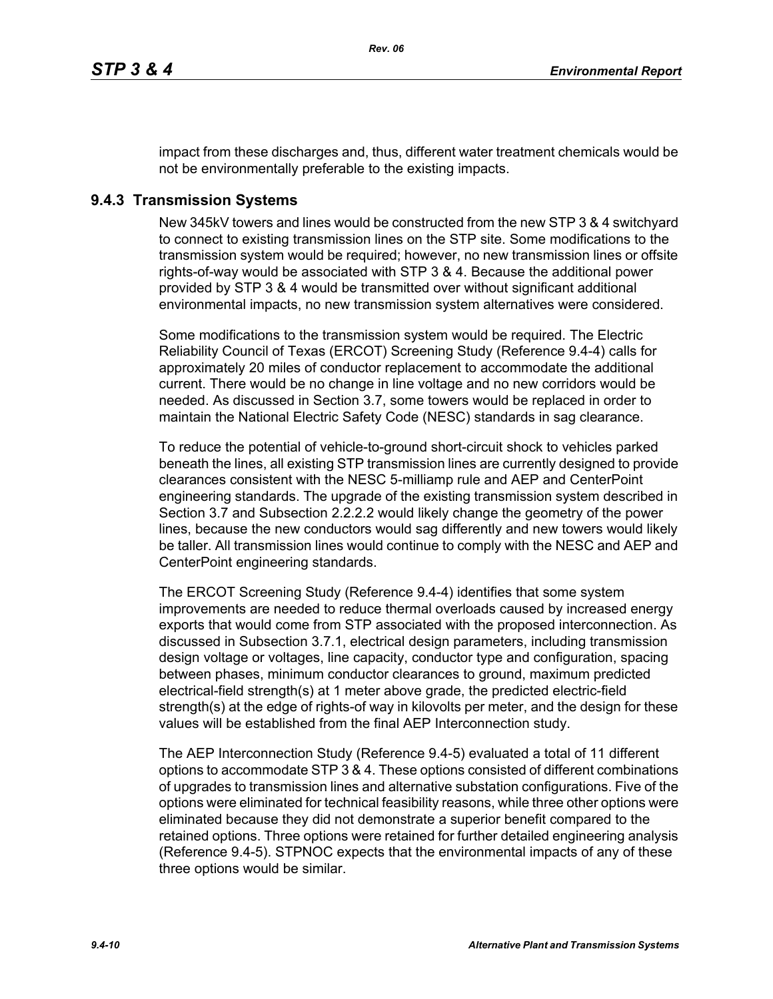impact from these discharges and, thus, different water treatment chemicals would be not be environmentally preferable to the existing impacts.

### **9.4.3 Transmission Systems**

New 345kV towers and lines would be constructed from the new STP 3 & 4 switchyard to connect to existing transmission lines on the STP site. Some modifications to the transmission system would be required; however, no new transmission lines or offsite rights-of-way would be associated with STP 3 & 4. Because the additional power provided by STP 3 & 4 would be transmitted over without significant additional environmental impacts, no new transmission system alternatives were considered.

Some modifications to the transmission system would be required. The Electric Reliability Council of Texas (ERCOT) Screening Study (Reference 9.4-4) calls for approximately 20 miles of conductor replacement to accommodate the additional current. There would be no change in line voltage and no new corridors would be needed. As discussed in Section 3.7, some towers would be replaced in order to maintain the National Electric Safety Code (NESC) standards in sag clearance.

To reduce the potential of vehicle-to-ground short-circuit shock to vehicles parked beneath the lines, all existing STP transmission lines are currently designed to provide clearances consistent with the NESC 5-milliamp rule and AEP and CenterPoint engineering standards. The upgrade of the existing transmission system described in Section 3.7 and Subsection 2.2.2.2 would likely change the geometry of the power lines, because the new conductors would sag differently and new towers would likely be taller. All transmission lines would continue to comply with the NESC and AEP and CenterPoint engineering standards.

The ERCOT Screening Study (Reference 9.4-4) identifies that some system improvements are needed to reduce thermal overloads caused by increased energy exports that would come from STP associated with the proposed interconnection. As discussed in Subsection 3.7.1, electrical design parameters, including transmission design voltage or voltages, line capacity, conductor type and configuration, spacing between phases, minimum conductor clearances to ground, maximum predicted electrical-field strength(s) at 1 meter above grade, the predicted electric-field strength(s) at the edge of rights-of way in kilovolts per meter, and the design for these values will be established from the final AEP Interconnection study.

The AEP Interconnection Study (Reference 9.4-5) evaluated a total of 11 different options to accommodate STP 3 & 4. These options consisted of different combinations of upgrades to transmission lines and alternative substation configurations. Five of the options were eliminated for technical feasibility reasons, while three other options were eliminated because they did not demonstrate a superior benefit compared to the retained options. Three options were retained for further detailed engineering analysis (Reference 9.4-5). STPNOC expects that the environmental impacts of any of these three options would be similar.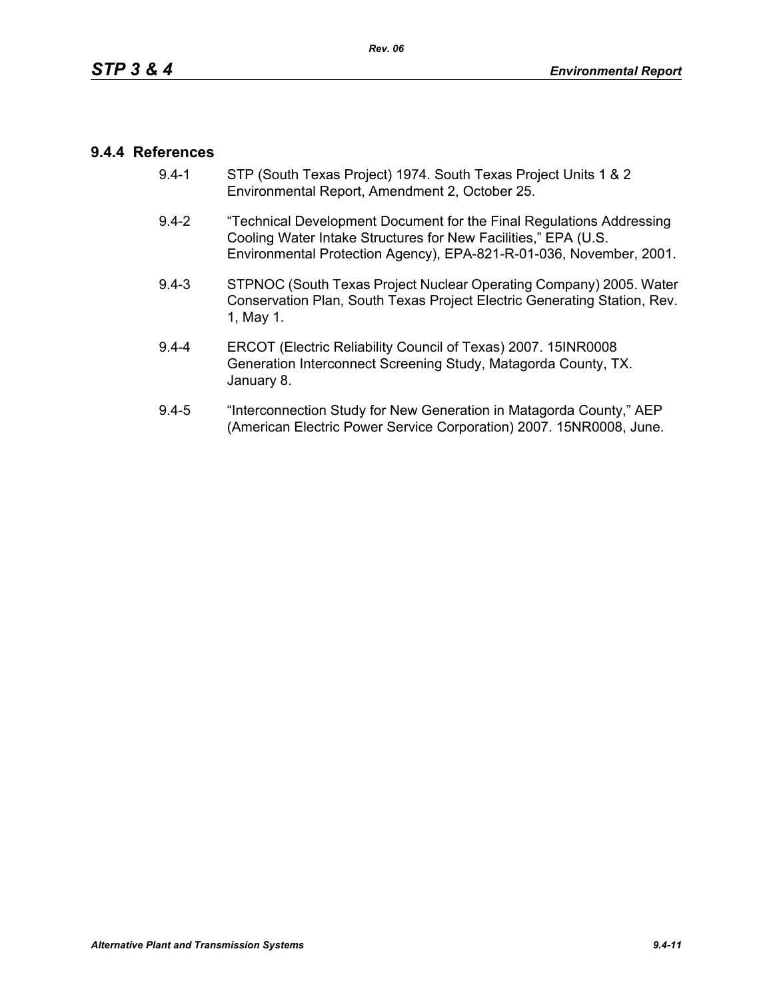## **9.4.4 References**

- 9.4-1 STP (South Texas Project) 1974. South Texas Project Units 1 & 2 Environmental Report, Amendment 2, October 25.
- 9.4-2 "Technical Development Document for the Final Regulations Addressing Cooling Water Intake Structures for New Facilities," EPA (U.S. Environmental Protection Agency), EPA-821-R-01-036, November, 2001.
- 9.4-3 STPNOC (South Texas Project Nuclear Operating Company) 2005. Water Conservation Plan, South Texas Project Electric Generating Station, Rev. 1, May 1.
- 9.4-4 ERCOT (Electric Reliability Council of Texas) 2007. 15INR0008 Generation Interconnect Screening Study, Matagorda County, TX. January 8.
- 9.4-5 "Interconnection Study for New Generation in Matagorda County," AEP (American Electric Power Service Corporation) 2007. 15NR0008, June.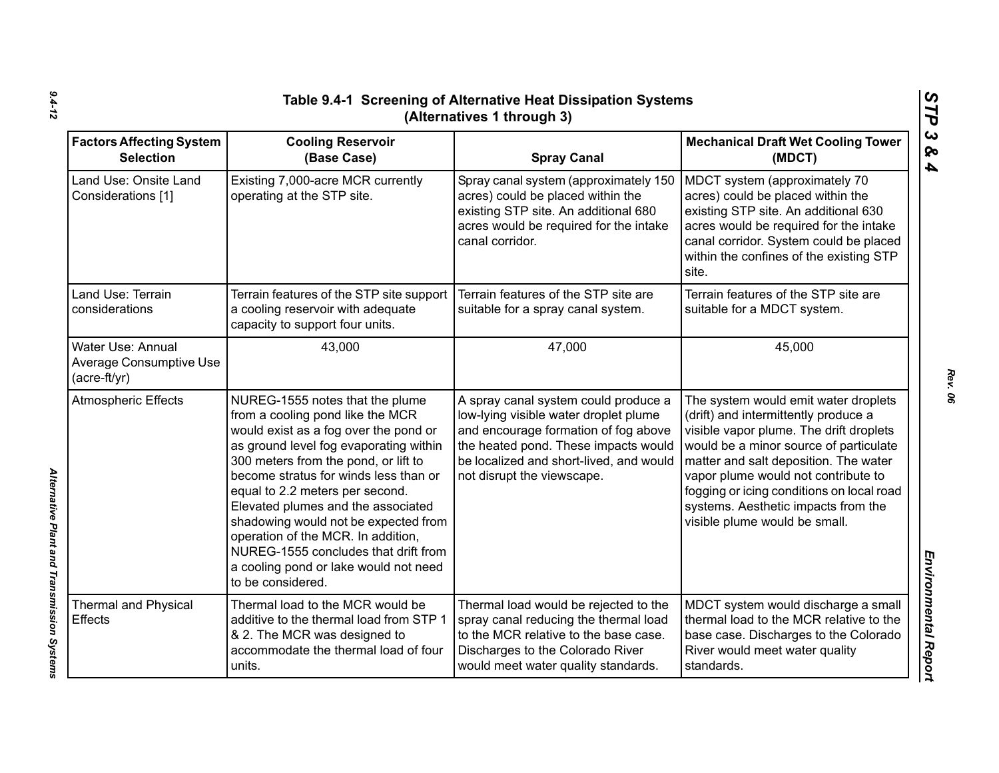|                                                              | STP<br>Table 9.4-1 Screening of Alternative Heat Dissipation Systems<br>(Alternatives 1 through 3)                                                                                                                                                                                                                                                                                                                                                                                                   |                                                                                                                                                                                                                                        |                                                                                                                                                                                                                                                                                                                                                                        |                                                  |  |
|--------------------------------------------------------------|------------------------------------------------------------------------------------------------------------------------------------------------------------------------------------------------------------------------------------------------------------------------------------------------------------------------------------------------------------------------------------------------------------------------------------------------------------------------------------------------------|----------------------------------------------------------------------------------------------------------------------------------------------------------------------------------------------------------------------------------------|------------------------------------------------------------------------------------------------------------------------------------------------------------------------------------------------------------------------------------------------------------------------------------------------------------------------------------------------------------------------|--------------------------------------------------|--|
| <b>Factors Affecting System</b><br><b>Selection</b>          | <b>Cooling Reservoir</b><br>(Base Case)                                                                                                                                                                                                                                                                                                                                                                                                                                                              | <b>Spray Canal</b>                                                                                                                                                                                                                     | <b>Mechanical Draft Wet Cooling Tower</b><br>(MDCT)                                                                                                                                                                                                                                                                                                                    | $\boldsymbol{\omega}$<br>ନ୍ତ<br>$\boldsymbol{4}$ |  |
| Land Use: Onsite Land<br>Considerations [1]                  | Existing 7,000-acre MCR currently<br>operating at the STP site.                                                                                                                                                                                                                                                                                                                                                                                                                                      | Spray canal system (approximately 150<br>acres) could be placed within the<br>existing STP site. An additional 680<br>acres would be required for the intake<br>canal corridor.                                                        | MDCT system (approximately 70<br>acres) could be placed within the<br>existing STP site. An additional 630<br>acres would be required for the intake<br>canal corridor. System could be placed<br>within the confines of the existing STP<br>site.                                                                                                                     |                                                  |  |
| Land Use: Terrain<br>considerations                          | Terrain features of the STP site support<br>a cooling reservoir with adequate<br>capacity to support four units.                                                                                                                                                                                                                                                                                                                                                                                     | Terrain features of the STP site are<br>suitable for a spray canal system.                                                                                                                                                             | Terrain features of the STP site are<br>suitable for a MDCT system.                                                                                                                                                                                                                                                                                                    |                                                  |  |
| Water Use: Annual<br>Average Consumptive Use<br>(acre-ft/yr) | 43,000                                                                                                                                                                                                                                                                                                                                                                                                                                                                                               | 47,000                                                                                                                                                                                                                                 | 45,000                                                                                                                                                                                                                                                                                                                                                                 |                                                  |  |
| <b>Atmospheric Effects</b>                                   | NUREG-1555 notes that the plume<br>from a cooling pond like the MCR<br>would exist as a fog over the pond or<br>as ground level fog evaporating within<br>300 meters from the pond, or lift to<br>become stratus for winds less than or<br>equal to 2.2 meters per second.<br>Elevated plumes and the associated<br>shadowing would not be expected from<br>operation of the MCR. In addition,<br>NUREG-1555 concludes that drift from<br>a cooling pond or lake would not need<br>to be considered. | A spray canal system could produce a<br>low-lying visible water droplet plume<br>and encourage formation of fog above<br>the heated pond. These impacts would<br>be localized and short-lived, and would<br>not disrupt the viewscape. | The system would emit water droplets<br>(drift) and intermittently produce a<br>visible vapor plume. The drift droplets<br>would be a minor source of particulate<br>matter and salt deposition. The water<br>vapor plume would not contribute to<br>fogging or icing conditions on local road<br>systems. Aesthetic impacts from the<br>visible plume would be small. |                                                  |  |
| <b>Thermal and Physical</b><br><b>Effects</b>                | Thermal load to the MCR would be<br>additive to the thermal load from STP 1<br>& 2. The MCR was designed to<br>accommodate the thermal load of four<br>units.                                                                                                                                                                                                                                                                                                                                        | Thermal load would be rejected to the<br>spray canal reducing the thermal load<br>to the MCR relative to the base case.<br>Discharges to the Colorado River<br>would meet water quality standards.                                     | MDCT system would discharge a small<br>thermal load to the MCR relative to the<br>base case. Discharges to the Colorado<br>River would meet water quality<br>standards.                                                                                                                                                                                                | Environmental Report                             |  |

*Alternative Plant and Transmission Systems* 

Alternative Plant and Transmission Systems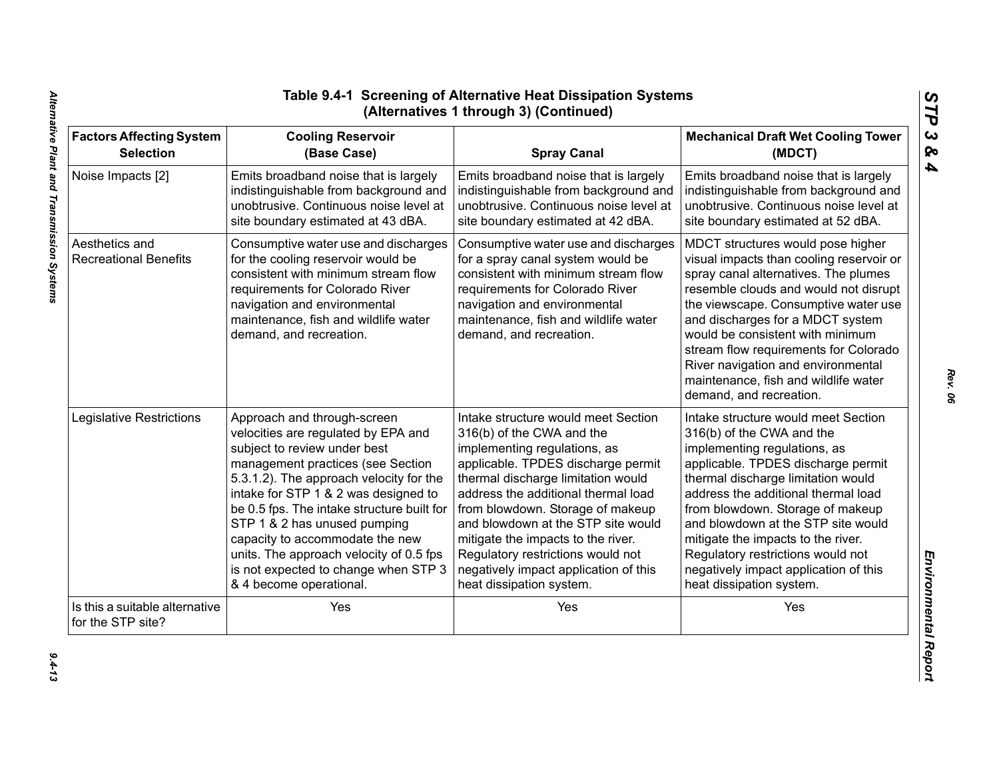| <b>Factors Affecting System</b>                     | <b>Cooling Reservoir</b>                                                                                                                                                                                                                                | <b>Spray Canal</b>                                                                                                                                                                                                                                     | <b>Mechanical Draft Wet Cooling Tower</b>                                                                                                                                                                                                                                                                                                                                                                                        |
|-----------------------------------------------------|---------------------------------------------------------------------------------------------------------------------------------------------------------------------------------------------------------------------------------------------------------|--------------------------------------------------------------------------------------------------------------------------------------------------------------------------------------------------------------------------------------------------------|----------------------------------------------------------------------------------------------------------------------------------------------------------------------------------------------------------------------------------------------------------------------------------------------------------------------------------------------------------------------------------------------------------------------------------|
| <b>Selection</b>                                    | (Base Case)                                                                                                                                                                                                                                             |                                                                                                                                                                                                                                                        | (MDCT)                                                                                                                                                                                                                                                                                                                                                                                                                           |
| Noise Impacts [2]                                   | Emits broadband noise that is largely                                                                                                                                                                                                                   | Emits broadband noise that is largely                                                                                                                                                                                                                  | Emits broadband noise that is largely                                                                                                                                                                                                                                                                                                                                                                                            |
|                                                     | indistinguishable from background and                                                                                                                                                                                                                   | indistinguishable from background and                                                                                                                                                                                                                  | indistinguishable from background and                                                                                                                                                                                                                                                                                                                                                                                            |
|                                                     | unobtrusive. Continuous noise level at                                                                                                                                                                                                                  | unobtrusive. Continuous noise level at                                                                                                                                                                                                                 | unobtrusive. Continuous noise level at                                                                                                                                                                                                                                                                                                                                                                                           |
|                                                     | site boundary estimated at 43 dBA.                                                                                                                                                                                                                      | site boundary estimated at 42 dBA.                                                                                                                                                                                                                     | site boundary estimated at 52 dBA.                                                                                                                                                                                                                                                                                                                                                                                               |
| Aesthetics and<br><b>Recreational Benefits</b>      | Consumptive water use and discharges<br>for the cooling reservoir would be<br>consistent with minimum stream flow<br>requirements for Colorado River<br>navigation and environmental<br>maintenance, fish and wildlife water<br>demand, and recreation. | Consumptive water use and discharges<br>for a spray canal system would be<br>consistent with minimum stream flow<br>requirements for Colorado River<br>navigation and environmental<br>maintenance, fish and wildlife water<br>demand, and recreation. | MDCT structures would pose higher<br>visual impacts than cooling reservoir or<br>spray canal alternatives. The plumes<br>resemble clouds and would not disrupt<br>the viewscape. Consumptive water use<br>and discharges for a MDCT system<br>would be consistent with minimum<br>stream flow requirements for Colorado<br>River navigation and environmental<br>maintenance, fish and wildlife water<br>demand, and recreation. |
| Legislative Restrictions                            | Approach and through-screen                                                                                                                                                                                                                             | Intake structure would meet Section                                                                                                                                                                                                                    | Intake structure would meet Section                                                                                                                                                                                                                                                                                                                                                                                              |
|                                                     | velocities are regulated by EPA and                                                                                                                                                                                                                     | 316(b) of the CWA and the                                                                                                                                                                                                                              | 316(b) of the CWA and the                                                                                                                                                                                                                                                                                                                                                                                                        |
|                                                     | subject to review under best                                                                                                                                                                                                                            | implementing regulations, as                                                                                                                                                                                                                           | implementing regulations, as                                                                                                                                                                                                                                                                                                                                                                                                     |
|                                                     | management practices (see Section                                                                                                                                                                                                                       | applicable. TPDES discharge permit                                                                                                                                                                                                                     | applicable. TPDES discharge permit                                                                                                                                                                                                                                                                                                                                                                                               |
|                                                     | 5.3.1.2). The approach velocity for the                                                                                                                                                                                                                 | thermal discharge limitation would                                                                                                                                                                                                                     | thermal discharge limitation would                                                                                                                                                                                                                                                                                                                                                                                               |
|                                                     | intake for STP 1 & 2 was designed to                                                                                                                                                                                                                    | address the additional thermal load                                                                                                                                                                                                                    | address the additional thermal load                                                                                                                                                                                                                                                                                                                                                                                              |
|                                                     | be 0.5 fps. The intake structure built for                                                                                                                                                                                                              | from blowdown. Storage of makeup                                                                                                                                                                                                                       | from blowdown. Storage of makeup                                                                                                                                                                                                                                                                                                                                                                                                 |
|                                                     | STP 1 & 2 has unused pumping                                                                                                                                                                                                                            | and blowdown at the STP site would                                                                                                                                                                                                                     | and blowdown at the STP site would                                                                                                                                                                                                                                                                                                                                                                                               |
|                                                     | capacity to accommodate the new                                                                                                                                                                                                                         | mitigate the impacts to the river.                                                                                                                                                                                                                     | mitigate the impacts to the river.                                                                                                                                                                                                                                                                                                                                                                                               |
|                                                     | units. The approach velocity of 0.5 fps                                                                                                                                                                                                                 | Regulatory restrictions would not                                                                                                                                                                                                                      | Regulatory restrictions would not                                                                                                                                                                                                                                                                                                                                                                                                |
|                                                     | is not expected to change when STP 3                                                                                                                                                                                                                    | negatively impact application of this                                                                                                                                                                                                                  | negatively impact application of this                                                                                                                                                                                                                                                                                                                                                                                            |
|                                                     | & 4 become operational.                                                                                                                                                                                                                                 | heat dissipation system.                                                                                                                                                                                                                               | heat dissipation system.                                                                                                                                                                                                                                                                                                                                                                                                         |
| Is this a suitable alternative<br>for the STP site? | Yes                                                                                                                                                                                                                                                     | Yes                                                                                                                                                                                                                                                    | Yes                                                                                                                                                                                                                                                                                                                                                                                                                              |

*Rev. 06*

*STP 3 & 4*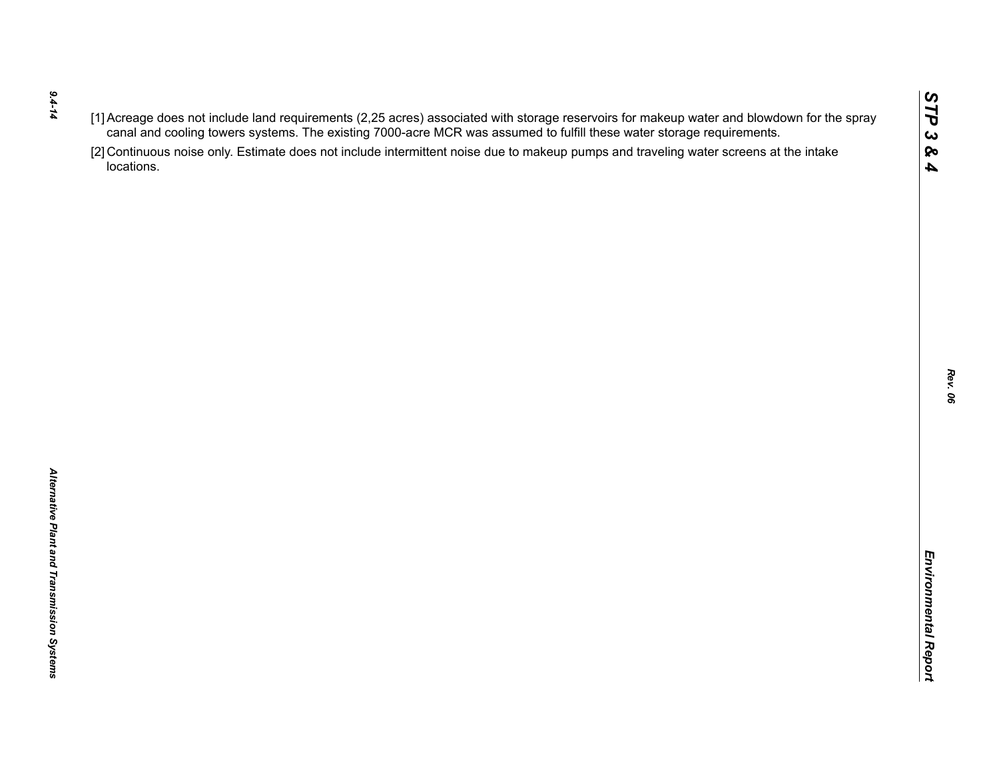- *9.4-14*
- 
- $(1)$  Accessors of the rich requirements (2.25 are once to the was assumed to furth these water storage requirements.<br>
Caroline of the control of the state of the state of the state of the state of the state of the state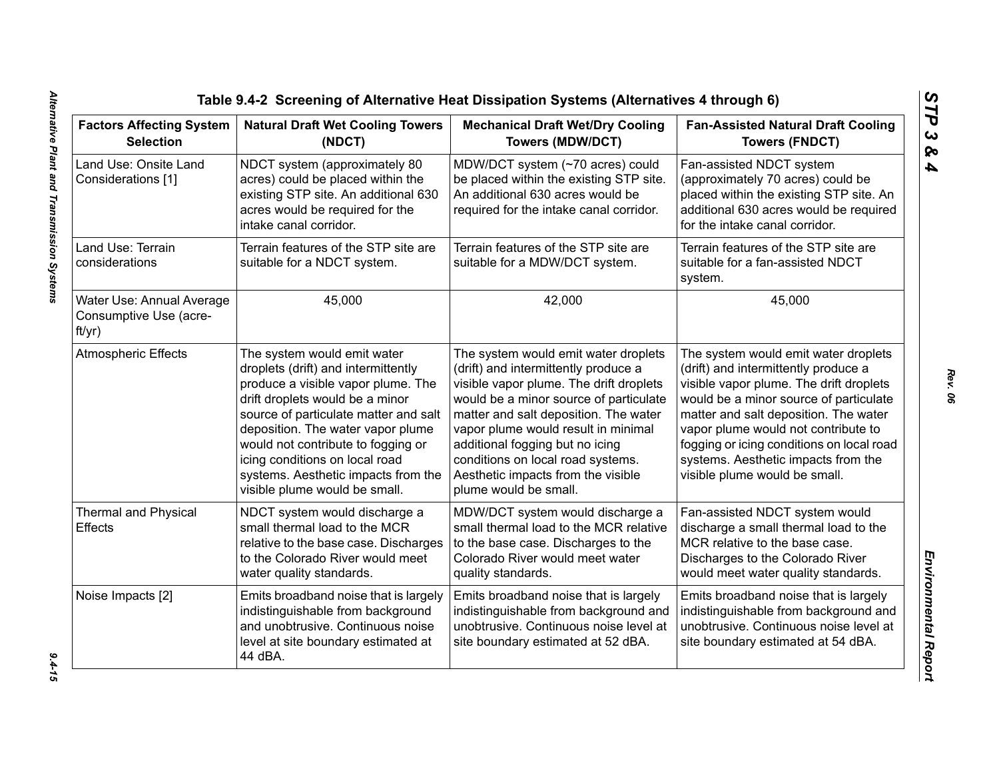| <b>Factors Affecting System</b><br><b>Selection</b>           | <b>Natural Draft Wet Cooling Towers</b><br>(NDCT)                                                                                                                                                                                                                                                                                                                         | <b>Mechanical Draft Wet/Dry Cooling</b><br><b>Towers (MDW/DCT)</b>                                                                                                                                                                                                                                                                                                                       | <b>Fan-Assisted Natural Draft Cooling</b><br><b>Towers (FNDCT)</b>                                                                                                                                                                                                                                                                                                     |
|---------------------------------------------------------------|---------------------------------------------------------------------------------------------------------------------------------------------------------------------------------------------------------------------------------------------------------------------------------------------------------------------------------------------------------------------------|------------------------------------------------------------------------------------------------------------------------------------------------------------------------------------------------------------------------------------------------------------------------------------------------------------------------------------------------------------------------------------------|------------------------------------------------------------------------------------------------------------------------------------------------------------------------------------------------------------------------------------------------------------------------------------------------------------------------------------------------------------------------|
| Land Use: Onsite Land<br>Considerations [1]                   | NDCT system (approximately 80<br>acres) could be placed within the<br>existing STP site. An additional 630<br>acres would be required for the<br>intake canal corridor.                                                                                                                                                                                                   | MDW/DCT system (~70 acres) could<br>be placed within the existing STP site.<br>An additional 630 acres would be<br>required for the intake canal corridor.                                                                                                                                                                                                                               | Fan-assisted NDCT system<br>(approximately 70 acres) could be<br>placed within the existing STP site. An<br>additional 630 acres would be required<br>for the intake canal corridor.                                                                                                                                                                                   |
| Land Use: Terrain<br>considerations                           | Terrain features of the STP site are<br>suitable for a NDCT system.                                                                                                                                                                                                                                                                                                       | Terrain features of the STP site are<br>suitable for a MDW/DCT system.                                                                                                                                                                                                                                                                                                                   | Terrain features of the STP site are<br>suitable for a fan-assisted NDCT<br>system.                                                                                                                                                                                                                                                                                    |
| Water Use: Annual Average<br>Consumptive Use (acre-<br>ft/yr) | 45,000                                                                                                                                                                                                                                                                                                                                                                    | 42,000                                                                                                                                                                                                                                                                                                                                                                                   | 45,000                                                                                                                                                                                                                                                                                                                                                                 |
| <b>Atmospheric Effects</b>                                    | The system would emit water<br>droplets (drift) and intermittently<br>produce a visible vapor plume. The<br>drift droplets would be a minor<br>source of particulate matter and salt<br>deposition. The water vapor plume<br>would not contribute to fogging or<br>icing conditions on local road<br>systems. Aesthetic impacts from the<br>visible plume would be small. | The system would emit water droplets<br>(drift) and intermittently produce a<br>visible vapor plume. The drift droplets<br>would be a minor source of particulate<br>matter and salt deposition. The water<br>vapor plume would result in minimal<br>additional fogging but no icing<br>conditions on local road systems.<br>Aesthetic impacts from the visible<br>plume would be small. | The system would emit water droplets<br>(drift) and intermittently produce a<br>visible vapor plume. The drift droplets<br>would be a minor source of particulate<br>matter and salt deposition. The water<br>vapor plume would not contribute to<br>fogging or icing conditions on local road<br>systems. Aesthetic impacts from the<br>visible plume would be small. |
| <b>Thermal and Physical</b><br>Effects                        | NDCT system would discharge a<br>small thermal load to the MCR<br>relative to the base case. Discharges<br>to the Colorado River would meet<br>water quality standards.                                                                                                                                                                                                   | MDW/DCT system would discharge a<br>small thermal load to the MCR relative<br>to the base case. Discharges to the<br>Colorado River would meet water<br>quality standards.                                                                                                                                                                                                               | Fan-assisted NDCT system would<br>discharge a small thermal load to the<br>MCR relative to the base case.<br>Discharges to the Colorado River<br>would meet water quality standards.                                                                                                                                                                                   |
| Noise Impacts [2]                                             | Emits broadband noise that is largely<br>indistinguishable from background<br>and unobtrusive. Continuous noise<br>level at site boundary estimated at<br>44 dBA.                                                                                                                                                                                                         | Emits broadband noise that is largely<br>indistinguishable from background and<br>unobtrusive. Continuous noise level at<br>site boundary estimated at 52 dBA.                                                                                                                                                                                                                           | Emits broadband noise that is largely<br>indistinguishable from background and<br>unobtrusive. Continuous noise level at<br>site boundary estimated at 54 dBA.                                                                                                                                                                                                         |

*STP 3 & 4*

 $9.4 - 15$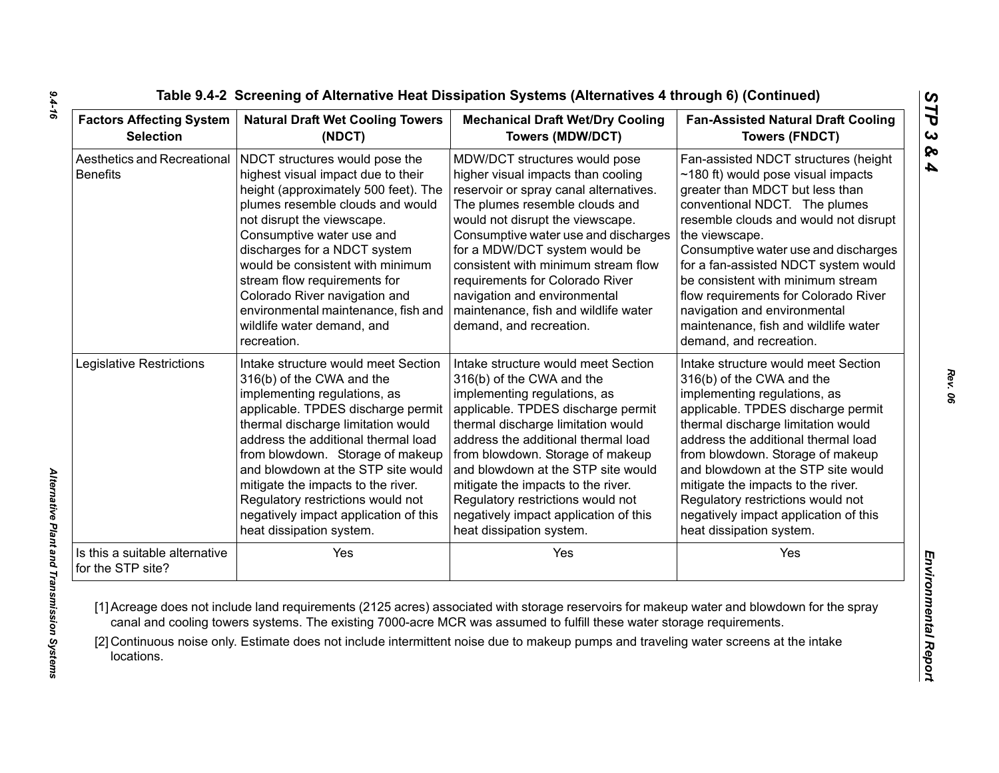| <b>Factors Affecting System</b>                     | <b>Natural Draft Wet Cooling Towers</b>                                                                                                                                                                                                                                                                                                                                                                                              | <b>Mechanical Draft Wet/Dry Cooling</b>                                                                                                                                                                                                                                                                                                                                                                                                   | <b>Fan-Assisted Natural Draft Cooling</b>                                                                                                                                                                                                                                                                                                                                                                                                                                       |
|-----------------------------------------------------|--------------------------------------------------------------------------------------------------------------------------------------------------------------------------------------------------------------------------------------------------------------------------------------------------------------------------------------------------------------------------------------------------------------------------------------|-------------------------------------------------------------------------------------------------------------------------------------------------------------------------------------------------------------------------------------------------------------------------------------------------------------------------------------------------------------------------------------------------------------------------------------------|---------------------------------------------------------------------------------------------------------------------------------------------------------------------------------------------------------------------------------------------------------------------------------------------------------------------------------------------------------------------------------------------------------------------------------------------------------------------------------|
| <b>Selection</b>                                    | (NDCT)                                                                                                                                                                                                                                                                                                                                                                                                                               | <b>Towers (MDW/DCT)</b>                                                                                                                                                                                                                                                                                                                                                                                                                   | <b>Towers (FNDCT)</b>                                                                                                                                                                                                                                                                                                                                                                                                                                                           |
| Aesthetics and Recreational<br><b>Benefits</b>      | NDCT structures would pose the<br>highest visual impact due to their<br>height (approximately 500 feet). The<br>plumes resemble clouds and would<br>not disrupt the viewscape.<br>Consumptive water use and<br>discharges for a NDCT system<br>would be consistent with minimum<br>stream flow requirements for<br>Colorado River navigation and<br>environmental maintenance, fish and<br>wildlife water demand, and<br>recreation. | MDW/DCT structures would pose<br>higher visual impacts than cooling<br>reservoir or spray canal alternatives.<br>The plumes resemble clouds and<br>would not disrupt the viewscape.<br>Consumptive water use and discharges<br>for a MDW/DCT system would be<br>consistent with minimum stream flow<br>requirements for Colorado River<br>navigation and environmental<br>maintenance, fish and wildlife water<br>demand, and recreation. | Fan-assisted NDCT structures (height<br>$\sim$ 180 ft) would pose visual impacts<br>greater than MDCT but less than<br>conventional NDCT. The plumes<br>resemble clouds and would not disrupt<br>the viewscape.<br>Consumptive water use and discharges<br>for a fan-assisted NDCT system would<br>be consistent with minimum stream<br>flow requirements for Colorado River<br>navigation and environmental<br>maintenance, fish and wildlife water<br>demand, and recreation. |
| Legislative Restrictions                            | Intake structure would meet Section                                                                                                                                                                                                                                                                                                                                                                                                  | Intake structure would meet Section                                                                                                                                                                                                                                                                                                                                                                                                       | Intake structure would meet Section                                                                                                                                                                                                                                                                                                                                                                                                                                             |
|                                                     | 316(b) of the CWA and the                                                                                                                                                                                                                                                                                                                                                                                                            | 316(b) of the CWA and the                                                                                                                                                                                                                                                                                                                                                                                                                 | 316(b) of the CWA and the                                                                                                                                                                                                                                                                                                                                                                                                                                                       |
|                                                     | implementing regulations, as                                                                                                                                                                                                                                                                                                                                                                                                         | implementing regulations, as                                                                                                                                                                                                                                                                                                                                                                                                              | implementing regulations, as                                                                                                                                                                                                                                                                                                                                                                                                                                                    |
|                                                     | applicable. TPDES discharge permit                                                                                                                                                                                                                                                                                                                                                                                                   | applicable. TPDES discharge permit                                                                                                                                                                                                                                                                                                                                                                                                        | applicable. TPDES discharge permit                                                                                                                                                                                                                                                                                                                                                                                                                                              |
|                                                     | thermal discharge limitation would                                                                                                                                                                                                                                                                                                                                                                                                   | thermal discharge limitation would                                                                                                                                                                                                                                                                                                                                                                                                        | thermal discharge limitation would                                                                                                                                                                                                                                                                                                                                                                                                                                              |
|                                                     | address the additional thermal load                                                                                                                                                                                                                                                                                                                                                                                                  | address the additional thermal load                                                                                                                                                                                                                                                                                                                                                                                                       | address the additional thermal load                                                                                                                                                                                                                                                                                                                                                                                                                                             |
|                                                     | from blowdown. Storage of makeup                                                                                                                                                                                                                                                                                                                                                                                                     | from blowdown. Storage of makeup                                                                                                                                                                                                                                                                                                                                                                                                          | from blowdown. Storage of makeup                                                                                                                                                                                                                                                                                                                                                                                                                                                |
|                                                     | and blowdown at the STP site would                                                                                                                                                                                                                                                                                                                                                                                                   | and blowdown at the STP site would                                                                                                                                                                                                                                                                                                                                                                                                        | and blowdown at the STP site would                                                                                                                                                                                                                                                                                                                                                                                                                                              |
|                                                     | mitigate the impacts to the river.                                                                                                                                                                                                                                                                                                                                                                                                   | mitigate the impacts to the river.                                                                                                                                                                                                                                                                                                                                                                                                        | mitigate the impacts to the river.                                                                                                                                                                                                                                                                                                                                                                                                                                              |
|                                                     | Regulatory restrictions would not                                                                                                                                                                                                                                                                                                                                                                                                    | Regulatory restrictions would not                                                                                                                                                                                                                                                                                                                                                                                                         | Regulatory restrictions would not                                                                                                                                                                                                                                                                                                                                                                                                                                               |
|                                                     | negatively impact application of this                                                                                                                                                                                                                                                                                                                                                                                                | negatively impact application of this                                                                                                                                                                                                                                                                                                                                                                                                     | negatively impact application of this                                                                                                                                                                                                                                                                                                                                                                                                                                           |
|                                                     | heat dissipation system.                                                                                                                                                                                                                                                                                                                                                                                                             | heat dissipation system.                                                                                                                                                                                                                                                                                                                                                                                                                  | heat dissipation system.                                                                                                                                                                                                                                                                                                                                                                                                                                                        |
| Is this a suitable alternative<br>for the STP site? | Yes                                                                                                                                                                                                                                                                                                                                                                                                                                  | Yes                                                                                                                                                                                                                                                                                                                                                                                                                                       | Yes                                                                                                                                                                                                                                                                                                                                                                                                                                                                             |

*9.4-16*

*Rev. 06*

*STP 3 & 4*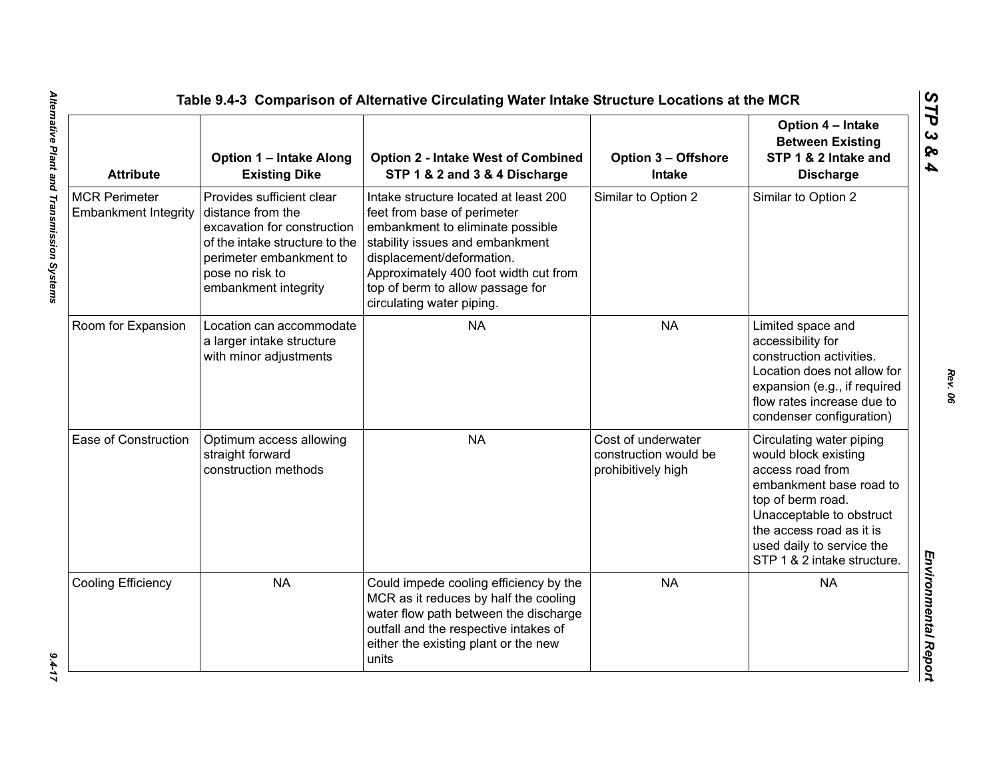| <b>Attribute</b>                                    | <b>Option 1 - Intake Along</b><br><b>Existing Dike</b>                                                                                                                                | <b>Option 2 - Intake West of Combined</b><br>STP 1 & 2 and 3 & 4 Discharge                                                                                                                                                                                                         | <b>Option 3 - Offshore</b><br><b>Intake</b>                       | Option 4 - Intake<br><b>Between Existing</b><br>STP 1 & 2 Intake and<br><b>Discharge</b>                                                                                                                                                 |
|-----------------------------------------------------|---------------------------------------------------------------------------------------------------------------------------------------------------------------------------------------|------------------------------------------------------------------------------------------------------------------------------------------------------------------------------------------------------------------------------------------------------------------------------------|-------------------------------------------------------------------|------------------------------------------------------------------------------------------------------------------------------------------------------------------------------------------------------------------------------------------|
| <b>MCR Perimeter</b><br><b>Embankment Integrity</b> | Provides sufficient clear<br>distance from the<br>excavation for construction<br>of the intake structure to the<br>perimeter embankment to<br>pose no risk to<br>embankment integrity | Intake structure located at least 200<br>feet from base of perimeter<br>embankment to eliminate possible<br>stability issues and embankment<br>displacement/deformation.<br>Approximately 400 foot width cut from<br>top of berm to allow passage for<br>circulating water piping. | Similar to Option 2                                               | Similar to Option 2                                                                                                                                                                                                                      |
| Room for Expansion                                  | Location can accommodate<br>a larger intake structure<br>with minor adjustments                                                                                                       | <b>NA</b>                                                                                                                                                                                                                                                                          | <b>NA</b>                                                         | Limited space and<br>accessibility for<br>construction activities.<br>Location does not allow for<br>expansion (e.g., if required<br>flow rates increase due to<br>condenser configuration)                                              |
| Ease of Construction                                | Optimum access allowing<br>straight forward<br>construction methods                                                                                                                   | <b>NA</b>                                                                                                                                                                                                                                                                          | Cost of underwater<br>construction would be<br>prohibitively high | Circulating water piping<br>would block existing<br>access road from<br>embankment base road to<br>top of berm road.<br>Unacceptable to obstruct<br>the access road as it is<br>used daily to service the<br>STP 1 & 2 intake structure. |
| Cooling Efficiency                                  | <b>NA</b>                                                                                                                                                                             | Could impede cooling efficiency by the<br>MCR as it reduces by half the cooling<br>water flow path between the discharge<br>outfall and the respective intakes of<br>either the existing plant or the new<br>units                                                                 | <b>NA</b>                                                         | <b>NA</b>                                                                                                                                                                                                                                |

 $9.4 - 17$